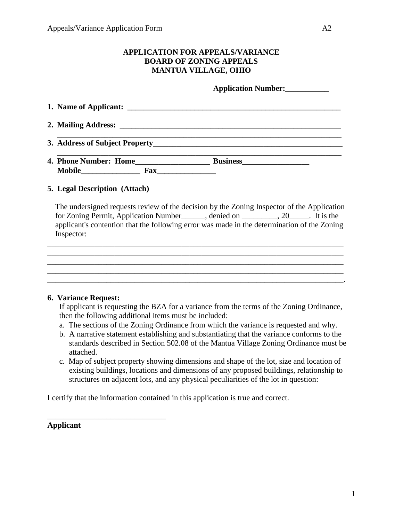## **APPLICATION FOR APPEALS/VARIANCE BOARD OF ZONING APPEALS MANTUA VILLAGE, OHIO**

**Application Number:\_\_\_\_\_\_\_\_\_\_\_**

| 4. Phone Number: Home<br><b>Mobile</b><br>Fax | <b>Business</b> |
|-----------------------------------------------|-----------------|

### **5. Legal Description (Attach)**

 The undersigned requests review of the decision by the Zoning Inspector of the Application for Zoning Permit, Application Number\_\_\_\_\_\_, denied on \_\_\_\_\_\_\_\_\_, 20\_\_\_\_\_. It is the applicant's contention that the following error was made in the determination of the Zoning Inspector:

 $\mathcal{L}_\text{max} = \mathcal{L}_\text{max} = \mathcal{L}_\text{max} = \mathcal{L}_\text{max} = \mathcal{L}_\text{max} = \mathcal{L}_\text{max} = \mathcal{L}_\text{max} = \mathcal{L}_\text{max} = \mathcal{L}_\text{max} = \mathcal{L}_\text{max} = \mathcal{L}_\text{max} = \mathcal{L}_\text{max} = \mathcal{L}_\text{max} = \mathcal{L}_\text{max} = \mathcal{L}_\text{max} = \mathcal{L}_\text{max} = \mathcal{L}_\text{max} = \mathcal{L}_\text{max} = \mathcal{$ 

\_\_\_\_\_\_\_\_\_\_\_\_\_\_\_\_\_\_\_\_\_\_\_\_\_\_\_\_\_\_\_\_\_\_\_\_\_\_\_\_\_\_\_\_\_\_\_\_\_\_\_\_\_\_\_\_\_\_\_\_\_\_\_\_\_\_\_\_\_\_\_\_\_\_\_

\_\_\_\_\_\_\_\_\_\_\_\_\_\_\_\_\_\_\_\_\_\_\_\_\_\_\_\_\_\_\_\_\_\_\_\_\_\_\_\_\_\_\_\_\_\_\_\_\_\_\_\_\_\_\_\_\_\_\_\_\_\_\_\_\_\_\_\_\_\_\_\_\_\_\_

\_\_\_\_\_\_\_\_\_\_\_\_\_\_\_\_\_\_\_\_\_\_\_\_\_\_\_\_\_\_\_\_\_\_\_\_\_\_\_\_\_\_\_\_\_\_\_\_\_\_\_\_\_\_\_\_\_\_\_\_\_\_\_\_\_\_\_\_\_\_\_\_\_\_\_.

#### **6. Variance Request:**

 If applicant is requesting the BZA for a variance from the terms of the Zoning Ordinance, then the following additional items must be included:

- a. The sections of the Zoning Ordinance from which the variance is requested and why.
- b. A narrative statement establishing and substantiating that the variance conforms to the standards described in Section 502.08 of the Mantua Village Zoning Ordinance must be attached.
- c. Map of subject property showing dimensions and shape of the lot, size and location of existing buildings, locations and dimensions of any proposed buildings, relationship to structures on adjacent lots, and any physical peculiarities of the lot in question:

I certify that the information contained in this application is true and correct.

# **Applicant**

\_\_\_\_\_\_\_\_\_\_\_\_\_\_\_\_\_\_\_\_\_\_\_\_\_\_\_\_\_\_